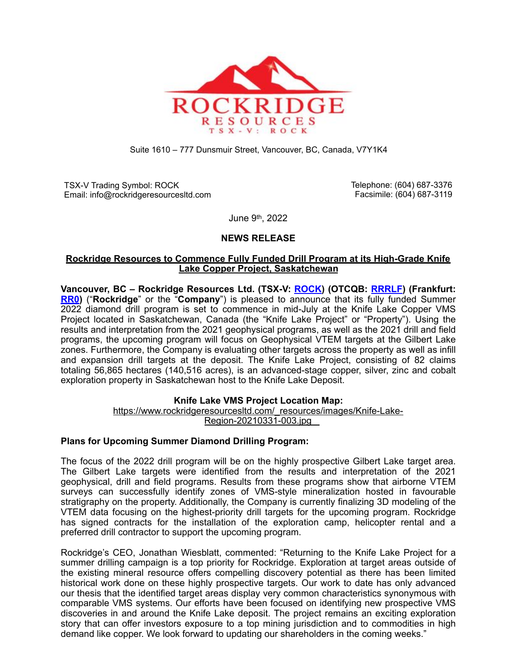

#### Suite 1610 – 777 Dunsmuir Street, Vancouver, BC, Canada, V7Y1K4

TSX-V Trading Symbol: ROCK Email: info@rockridgeresourcesltd.com Telephone: (604) 687-3376 Facsimile: (604) 687-3119

June 9th, 2022

# **NEWS RELEASE**

## **Rockridge Resources to Commence Fully Funded Drill Program at its High-Grade Knife Lake Copper Project, Saskatchewan**

**Vancouver, BC – Rockridge Resources Ltd. (TSX-V: [ROCK](https://money.tmx.com/en/quote/ROCK)) (OTCQB: [RRRLF\)](https://www.otcmarkets.com/stock/RRRLF/overview) (Frankfurt: [RR0](https://www.bloomberg.com/quote/RR0:GR))** ("**Rockridge**" or the "**Company**") is pleased to announce that its fully funded Summer 2022 diamond drill program is set to commence in mid-July at the Knife Lake Copper VMS Project located in Saskatchewan, Canada (the "Knife Lake Project" or "Property"). Using the results and interpretation from the 2021 geophysical programs, as well as the 2021 drill and field programs, the upcoming program will focus on Geophysical VTEM targets at the Gilbert Lake zones. Furthermore, the Company is evaluating other targets across the property as well as infill and expansion drill targets at the deposit. The Knife Lake Project, consisting of 82 claims totaling 56,865 hectares (140,516 acres), is an advanced-stage copper, silver, zinc and cobalt exploration property in Saskatchewan host to the Knife Lake Deposit.

## **Knife Lake VMS Project Location Map:**

[https://www.rockridgeresourcesltd.com/\\_resources/images/Knife-Lake-](https://www.rockridgeresourcesltd.com/_resources/images/Knife-Lake-Region-20210331-003.jpg)[Region-20210331-003.jpg](https://www.rockridgeresourcesltd.com/_resources/images/Knife-Lake-Region-20210331-003.jpg) 

## **Plans for Upcoming Summer Diamond Drilling Program:**

The focus of the 2022 drill program will be on the highly prospective Gilbert Lake target area. The Gilbert Lake targets were identified from the results and interpretation of the 2021 geophysical, drill and field programs. Results from these programs show that airborne VTEM surveys can successfully identify zones of VMS-style mineralization hosted in favourable stratigraphy on the property. Additionally, the Company is currently finalizing 3D modeling of the VTEM data focusing on the highest-priority drill targets for the upcoming program. Rockridge has signed contracts for the installation of the exploration camp, helicopter rental and a preferred drill contractor to support the upcoming program.

Rockridge's CEO, Jonathan Wiesblatt, commented: "Returning to the Knife Lake Project for a summer drilling campaign is a top priority for Rockridge. Exploration at target areas outside of the existing mineral resource offers compelling discovery potential as there has been limited historical work done on these highly prospective targets. Our work to date has only advanced our thesis that the identified target areas display very common characteristics synonymous with comparable VMS systems. Our efforts have been focused on identifying new prospective VMS discoveries in and around the Knife Lake deposit. The project remains an exciting exploration story that can offer investors exposure to a top mining jurisdiction and to commodities in high demand like copper. We look forward to updating our shareholders in the coming weeks."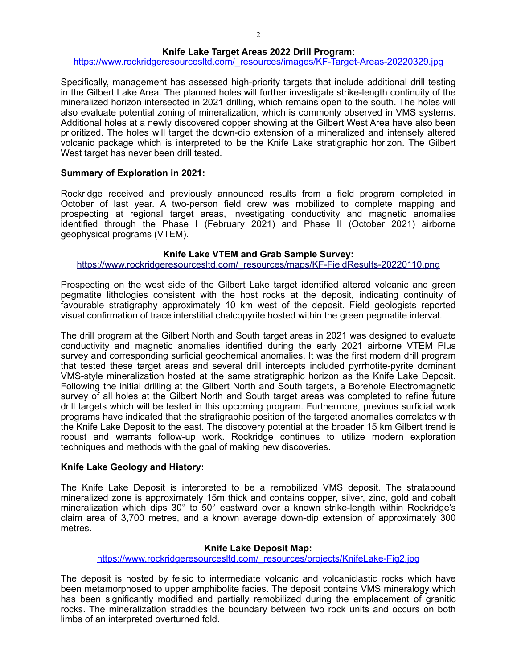#### **Knife Lake Target Areas 2022 Drill Program:**

#### [https://www.rockridgeresourcesltd.com/\\_resources/images/KF-Target-Areas-20220329.jpg](https://www.rockridgeresourcesltd.com/_resources/images/KF-Target-Areas-20220329.jpg)

Specifically, management has assessed high-priority targets that include additional drill testing in the Gilbert Lake Area. The planned holes will further investigate strike-length continuity of the mineralized horizon intersected in 2021 drilling, which remains open to the south. The holes will also evaluate potential zoning of mineralization, which is commonly observed in VMS systems. Additional holes at a newly discovered copper showing at the Gilbert West Area have also been prioritized. The holes will target the down-dip extension of a mineralized and intensely altered volcanic package which is interpreted to be the Knife Lake stratigraphic horizon. The Gilbert West target has never been drill tested.

#### **Summary of Exploration in 2021:**

Rockridge received and previously announced results from a field program completed in October of last year. A two-person field crew was mobilized to complete mapping and prospecting at regional target areas, investigating conductivity and magnetic anomalies identified through the Phase I (February 2021) and Phase II (October 2021) airborne geophysical programs (VTEM).

#### **Knife Lake VTEM and Grab Sample Survey:**

## [https://www.rockridgeresourcesltd.com/\\_resources/maps/KF-FieldResults-20220110.png](https://can01.safelinks.protection.outlook.com/?url=https%253A%252F%252Fwww.rockridgeresourcesltd.com%252F_resources%252Fmaps%252FKF-FieldResults-20220110.png&data=04%257C01%257Cjtrimble%2540sentinelmarket.com%257C8c4d6cb2af644a7602d908d9d5e036d2%257C7887c856c65a4519b618509a66239c3c%257C0%257C0%257C637775981230155596%257CUnknown%257CTWFpbGZsb3d8eyJWIjoiMC4wLjAwMDAiLCJQIjoiV2luMzIiLCJBTiI6Ik1haWwiLCJXVCI6Mn0%253D%257C3000&sdata=TOpNyMDUc3%252FVaACnTrewQkc9OwKZFmqAxx81YFog4vI%253D&reserved=0)

Prospecting on the west side of the Gilbert Lake target identified altered volcanic and green pegmatite lithologies consistent with the host rocks at the deposit, indicating continuity of favourable stratigraphy approximately 10 km west of the deposit. Field geologists reported visual confirmation of trace interstitial chalcopyrite hosted within the green pegmatite interval.

The drill program at the Gilbert North and South target areas in 2021 was designed to evaluate conductivity and magnetic anomalies identified during the early 2021 airborne VTEM Plus survey and corresponding surficial geochemical anomalies. It was the first modern drill program that tested these target areas and several drill intercepts included pyrrhotite-pyrite dominant VMS-style mineralization hosted at the same stratigraphic horizon as the Knife Lake Deposit. Following the initial drilling at the Gilbert North and South targets, a Borehole Electromagnetic survey of all holes at the Gilbert North and South target areas was completed to refine future drill targets which will be tested in this upcoming program. Furthermore, previous surficial work programs have indicated that the stratigraphic position of the targeted anomalies correlates with the Knife Lake Deposit to the east. The discovery potential at the broader 15 km Gilbert trend is robust and warrants follow-up work. Rockridge continues to utilize modern exploration techniques and methods with the goal of making new discoveries.

#### **Knife Lake Geology and History:**

The Knife Lake Deposit is interpreted to be a remobilized VMS deposit. The stratabound mineralized zone is approximately 15m thick and contains copper, silver, zinc, gold and cobalt mineralization which dips 30° to 50° eastward over a known strike-length within Rockridge's claim area of 3,700 metres, and a known average down-dip extension of approximately 300 metres.

#### **Knife Lake Deposit Map:**

## [https://www.rockridgeresourcesltd.com/\\_resources/projects/KnifeLake-Fig2.jpg](https://www.rockridgeresourcesltd.com/_resources/projects/KnifeLake-Fig2.jpg)

The deposit is hosted by felsic to intermediate volcanic and volcaniclastic rocks which have been metamorphosed to upper amphibolite facies. The deposit contains VMS mineralogy which has been significantly modified and partially remobilized during the emplacement of granitic rocks. The mineralization straddles the boundary between two rock units and occurs on both limbs of an interpreted overturned fold.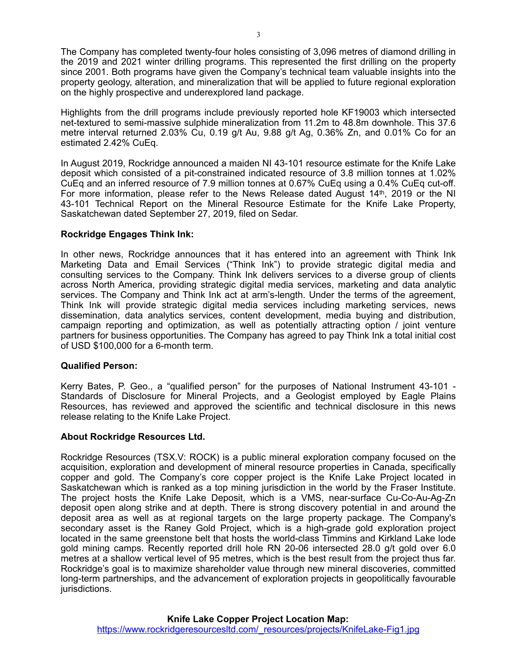The Company has completed twenty-four holes consisting of 3,096 metres of diamond drilling in the 2019 and 2021 winter drilling programs. This represented the first drilling on the property since 2001. Both programs have given the Company's technical team valuable insights into the property geology, alteration, and mineralization that will be applied to future regional exploration on the highly prospective and underexplored land package.

Highlights from the drill programs include previously reported hole KF19003 which intersected net-textured to semi-massive sulphide mineralization from 11.2m to 48.8m downhole. This 37.6 metre interval returned 2.03% Cu, 0.19 g/t Au, 9.88 g/t Ag, 0.36% Zn, and 0.01% Co for an estimated 2.42% CuEq.

In August 2019, Rockridge announced a maiden NI 43-101 resource estimate for the Knife Lake deposit which consisted of a pit-constrained indicated resource of 3.8 million tonnes at 1.02% CuEq and an inferred resource of 7.9 million tonnes at 0.67% CuEq using a 0.4% CuEq cut-off. For more information, please refer to the News Release dated August 14th, 2019 or the NI 43-101 Technical Report on the Mineral Resource Estimate for the Knife Lake Property, Saskatchewan dated September 27, 2019, filed on Sedar.

# **Rockridge Engages Think Ink:**

In other news, Rockridge announces that it has entered into an agreement with Think Ink Marketing Data and Email Services ("Think Ink") to provide strategic digital media and consulting services to the Company. Think Ink delivers services to a diverse group of clients across North America, providing strategic digital media services, marketing and data analytic services. The Company and Think Ink act at arm's-length. Under the terms of the agreement, Think Ink will provide strategic digital media services including marketing services, news dissemination, data analytics services, content development, media buying and distribution, campaign reporting and optimization, as well as potentially attracting option / joint venture partners for business opportunities. The Company has agreed to pay Think Ink a total initial cost of USD \$100,000 for a 6-month term.

## **Qualified Person:**

Kerry Bates, P. Geo., a "qualified person" for the purposes of National Instrument 43-101 - Standards of Disclosure for Mineral Projects, and a Geologist employed by Eagle Plains Resources, has reviewed and approved the scientific and technical disclosure in this news release relating to the Knife Lake Project.

## **About Rockridge Resources Ltd.**

Rockridge Resources (TSX.V: ROCK) is a public mineral exploration company focused on the acquisition, exploration and development of mineral resource properties in Canada, specifically copper and gold. The Company's core copper project is the Knife Lake Project located in Saskatchewan which is ranked as a top mining jurisdiction in the world by the Fraser Institute. The project hosts the Knife Lake Deposit, which is a VMS, near-surface Cu-Co-Au-Ag-Zn deposit open along strike and at depth. There is strong discovery potential in and around the deposit area as well as at regional targets on the large property package. The Company's secondary asset is the Raney Gold Project, which is a high-grade gold exploration project located in the same greenstone belt that hosts the world-class Timmins and Kirkland Lake lode gold mining camps. Recently reported drill hole RN 20-06 intersected 28.0 g/t gold over 6.0 metres at a shallow vertical level of 95 metres, which is the best result from the project thus far. Rockridge's goal is to maximize shareholder value through new mineral discoveries, committed long-term partnerships, and the advancement of exploration projects in geopolitically favourable jurisdictions.